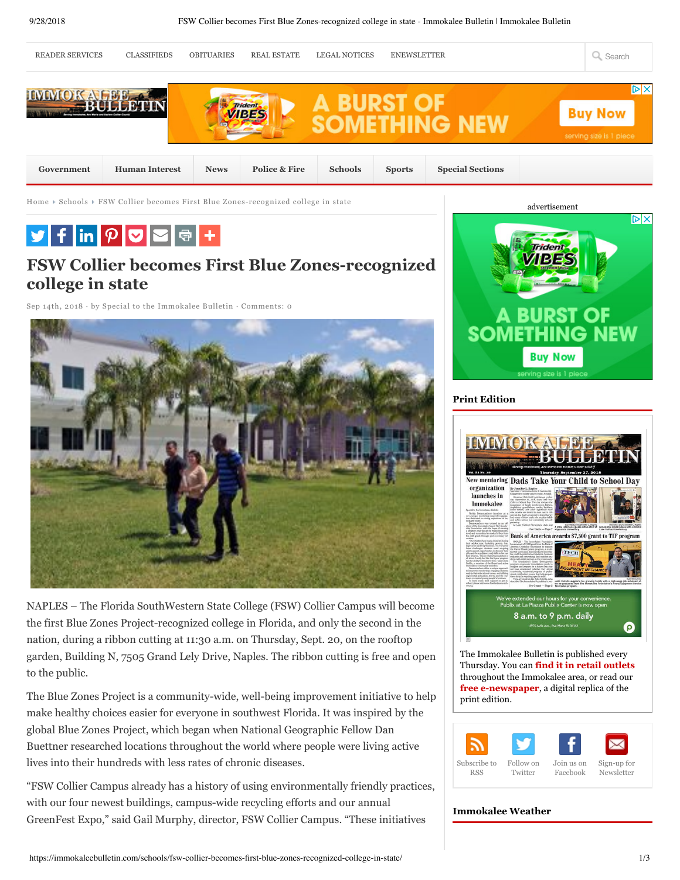

"FSW Collier Campus already has a history of using environmentally friendly practices, with our four newest buildings, campus-wide recycling efforts and our annual GreenFest Expo," said Gail Murphy, director, FSW Collier Campus. "These initiatives

## **Immokalee Weather**